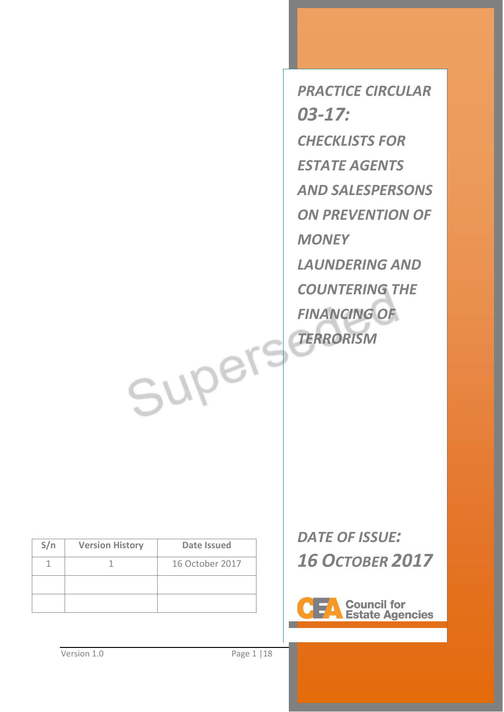*PRACTICE CIRCULAR 03-17: CHECKLISTS FOR ESTATE AGENTS AND SALESPERSONS ON PREVENTION OF MONEY LAUNDERING AND COUNTERING THE FINANCING OF TERRORISM*

| S/n | <b>Version History</b> | Date Issued     |
|-----|------------------------|-----------------|
|     |                        | 16 October 2017 |
|     |                        |                 |
|     |                        |                 |

*DATE OF ISSUE: 16 OCTOBER 2017*



Supers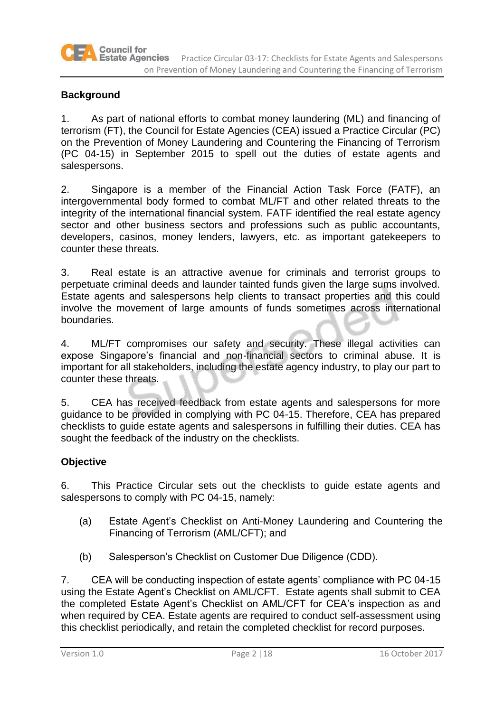

### **Background**

1. As part of national efforts to combat money laundering (ML) and financing of terrorism (FT), the Council for Estate Agencies (CEA) issued a Practice Circular (PC) on the Prevention of Money Laundering and Countering the Financing of Terrorism (PC 04-15) in September 2015 to spell out the duties of estate agents and salespersons.

2. Singapore is a member of the Financial Action Task Force (FATF), an intergovernmental body formed to combat ML/FT and other related threats to the integrity of the international financial system. FATF identified the real estate agency sector and other business sectors and professions such as public accountants, developers, casinos, money lenders, lawyers, etc. as important gatekeepers to counter these threats.

3. Real estate is an attractive avenue for criminals and terrorist groups to perpetuate criminal deeds and launder tainted funds given the large sums involved. Estate agents and salespersons help clients to transact properties and this could involve the movement of large amounts of funds sometimes across international boundaries.

4. ML/FT compromises our safety and security. These illegal activities can expose Singapore's financial and non-financial sectors to criminal abuse. It is important for all stakeholders, including the estate agency industry, to play our part to counter these threats.

5. CEA has received feedback from estate agents and salespersons for more guidance to be provided in complying with PC 04-15. Therefore, CEA has prepared checklists to guide estate agents and salespersons in fulfilling their duties. CEA has sought the feedback of the industry on the checklists.

### **Objective**

6. This Practice Circular sets out the checklists to guide estate agents and salespersons to comply with PC 04-15, namely:

- (a) Estate Agent's Checklist on Anti-Money Laundering and Countering the Financing of Terrorism (AML/CFT); and
- (b) Salesperson's Checklist on Customer Due Diligence (CDD).

7. CEA will be conducting inspection of estate agents' compliance with PC 04-15 using the Estate Agent's Checklist on AML/CFT. Estate agents shall submit to CEA the completed Estate Agent's Checklist on AML/CFT for CEA's inspection as and when required by CEA. Estate agents are required to conduct self-assessment using this checklist periodically, and retain the completed checklist for record purposes.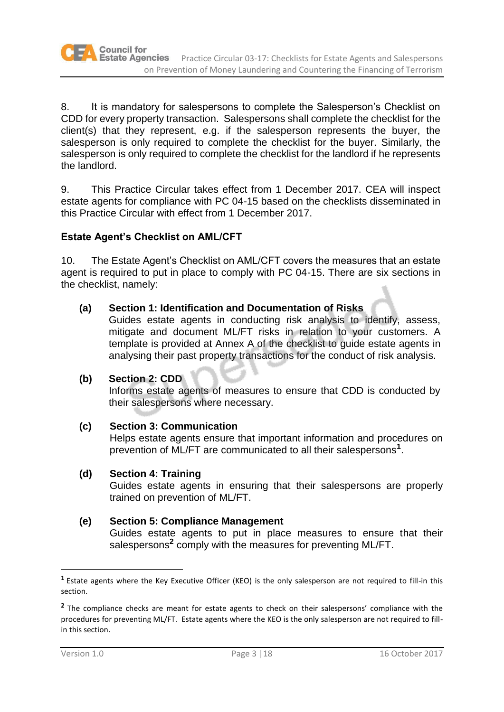8. It is mandatory for salespersons to complete the Salesperson's Checklist on CDD for every property transaction. Salespersons shall complete the checklist for the client(s) that they represent, e.g. if the salesperson represents the buyer, the salesperson is only required to complete the checklist for the buyer. Similarly, the salesperson is only required to complete the checklist for the landlord if he represents the landlord.

9. This Practice Circular takes effect from 1 December 2017. CEA will inspect estate agents for compliance with PC 04-15 based on the checklists disseminated in this Practice Circular with effect from 1 December 2017.

# **Estate Agent's Checklist on AML/CFT**

10. The Estate Agent's Checklist on AML/CFT covers the measures that an estate agent is required to put in place to comply with PC 04-15. There are six sections in the checklist, namely:

# **(a) Section 1: Identification and Documentation of Risks**

Guides estate agents in conducting risk analysis to identify, assess, mitigate and document ML/FT risks in relation to your customers. A template is provided at Annex A of the checklist to guide estate agents in analysing their past property transactions for the conduct of risk analysis.

# **(b) Section 2: CDD**

Informs estate agents of measures to ensure that CDD is conducted by their salespersons where necessary.

# **(c) Section 3: Communication**

Helps estate agents ensure that important information and procedures on prevention of ML/FT are communicated to all their salespersons**<sup>1</sup>** .

### **(d) Section 4: Training**

Guides estate agents in ensuring that their salespersons are properly trained on prevention of ML/FT.

# **(e) Section 5: Compliance Management**

Guides estate agents to put in place measures to ensure that their salespersons**<sup>2</sup>** comply with the measures for preventing ML/FT.

 $\overline{a}$ 

**<sup>1</sup>** Estate agents where the Key Executive Officer (KEO) is the only salesperson are not required to fill-in this section.

<sup>&</sup>lt;sup>2</sup> The compliance checks are meant for estate agents to check on their salespersons' compliance with the procedures for preventing ML/FT. Estate agents where the KEO is the only salesperson are not required to fillin this section.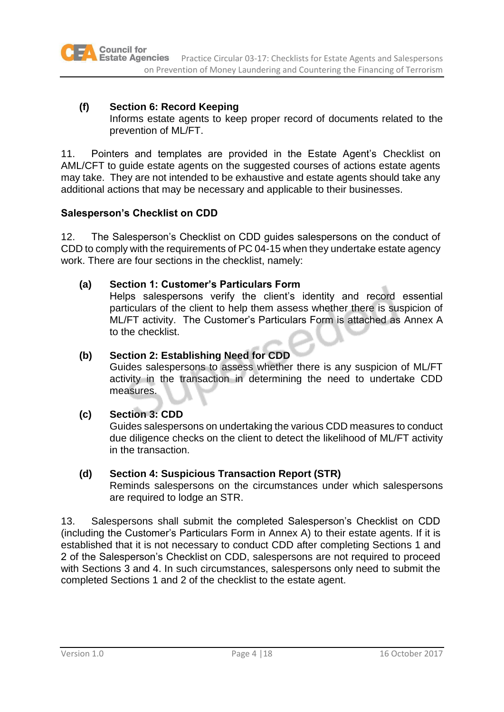## **(f) Section 6: Record Keeping**

Informs estate agents to keep proper record of documents related to the prevention of ML/FT.

11. Pointers and templates are provided in the Estate Agent's Checklist on AML/CFT to guide estate agents on the suggested courses of actions estate agents may take. They are not intended to be exhaustive and estate agents should take any additional actions that may be necessary and applicable to their businesses.

## **Salesperson's Checklist on CDD**

12. The Salesperson's Checklist on CDD guides salespersons on the conduct of CDD to comply with the requirements of PC 04-15 when they undertake estate agency work. There are four sections in the checklist, namely:

## **(a) Section 1: Customer's Particulars Form**

Helps salespersons verify the client's identity and record essential particulars of the client to help them assess whether there is suspicion of ML/FT activity. The Customer's Particulars Form is attached as Annex A to the checklist.

## **(b) Section 2: Establishing Need for CDD**

Guides salespersons to assess whether there is any suspicion of ML/FT activity in the transaction in determining the need to undertake CDD measures.

# **(c) Section 3: CDD**

Guides salespersons on undertaking the various CDD measures to conduct due diligence checks on the client to detect the likelihood of ML/FT activity in the transaction.

### **(d) Section 4: Suspicious Transaction Report (STR)**

Reminds salespersons on the circumstances under which salespersons are required to lodge an STR.

13. Salespersons shall submit the completed Salesperson's Checklist on CDD (including the Customer's Particulars Form in Annex A) to their estate agents. If it is established that it is not necessary to conduct CDD after completing Sections 1 and 2 of the Salesperson's Checklist on CDD, salespersons are not required to proceed with Sections 3 and 4. In such circumstances, salespersons only need to submit the completed Sections 1 and 2 of the checklist to the estate agent.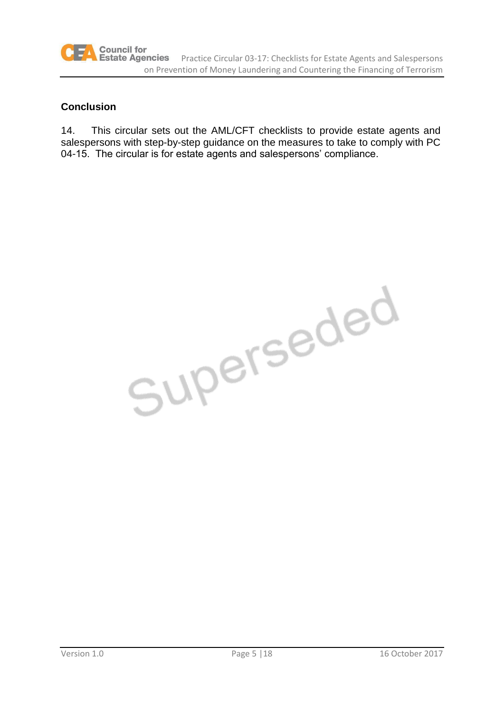## **Conclusion**

14. This circular sets out the AML/CFT checklists to provide estate agents and salespersons with step-by-step guidance on the measures to take to comply with PC 04-15. The circular is for estate agents and salespersons' compliance.

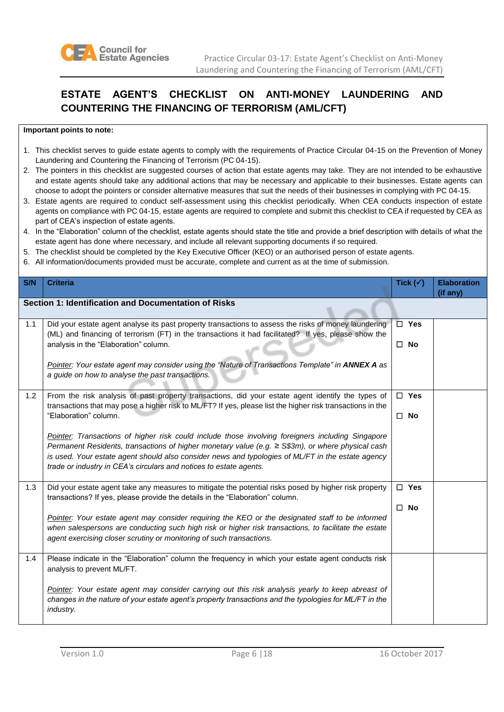

# **ESTATE AGENT'S CHECKLIST ON ANTI-MONEY LAUNDERING AND COUNTERING THE FINANCING OF TERRORISM (AML/CFT)**

#### **Important points to note:**

- 1. This checklist serves to guide estate agents to comply with the requirements of Practice Circular 04-15 on the Prevention of Money Laundering and Countering the Financing of Terrorism (PC 04-15).
- 2. The pointers in this checklist are suggested courses of action that estate agents may take. They are not intended to be exhaustive and estate agents should take any additional actions that may be necessary and applicable to their businesses. Estate agents can choose to adopt the pointers or consider alternative measures that suit the needs of their businesses in complying with PC 04-15.
- 3. Estate agents are required to conduct self-assessment using this checklist periodically. When CEA conducts inspection of estate agents on compliance with PC 04-15, estate agents are required to complete and submit this checklist to CEA if requested by CEA as part of CEA's inspection of estate agents.
- 4. In the "Elaboration" column of the checklist, estate agents should state the title and provide a brief description with details of what the estate agent has done where necessary, and include all relevant supporting documents if so required.
- 5. The checklist should be completed by the Key Executive Officer (KEO) or an authorised person of estate agents.
- 6. All information/documents provided must be accurate, complete and current as at the time of submission.

| S/N | <b>Criteria</b>                                                                                                                                                                                                                                                                                                                                                                                            | Tick $(\checkmark)$           | <b>Elaboration</b> |
|-----|------------------------------------------------------------------------------------------------------------------------------------------------------------------------------------------------------------------------------------------------------------------------------------------------------------------------------------------------------------------------------------------------------------|-------------------------------|--------------------|
|     | Section 1: Identification and Documentation of Risks                                                                                                                                                                                                                                                                                                                                                       |                               | (if any)           |
| 1.1 | Did your estate agent analyse its past property transactions to assess the risks of money laundering<br>(ML) and financing of terrorism (FT) in the transactions it had facilitated? If yes, please show the<br>analysis in the "Elaboration" column.                                                                                                                                                      | $\square$ Yes<br>$\square$ No |                    |
|     | Pointer: Your estate agent may consider using the "Nature of Transactions Template" in ANNEX A as<br>a guide on how to analyse the past transactions.                                                                                                                                                                                                                                                      |                               |                    |
| 1.2 | From the risk analysis of past property transactions, did your estate agent identify the types of<br>transactions that may pose a higher risk to ML/FT? If yes, please list the higher risk transactions in the                                                                                                                                                                                            | $\Box$ Yes                    |                    |
|     | "Elaboration" column.<br>Pointer: Transactions of higher risk could include those involving foreigners including Singapore<br>Permanent Residents, transactions of higher monetary value (e.g. ≥ S\$3m), or where physical cash<br>is used. Your estate agent should also consider news and typologies of ML/FT in the estate agency<br>trade or industry in CEA's circulars and notices to estate agents. | $\square$ No                  |                    |
| 1.3 | Did your estate agent take any measures to mitigate the potential risks posed by higher risk property<br>transactions? If yes, please provide the details in the "Elaboration" column.                                                                                                                                                                                                                     | $\square$ Yes                 |                    |
|     | Pointer: Your estate agent may consider requiring the KEO or the designated staff to be informed<br>when salespersons are conducting such high risk or higher risk transactions, to facilitate the estate<br>agent exercising closer scrutiny or monitoring of such transactions.                                                                                                                          | $\square$ No                  |                    |
| 1.4 | Please indicate in the "Elaboration" column the frequency in which your estate agent conducts risk<br>analysis to prevent ML/FT.                                                                                                                                                                                                                                                                           |                               |                    |
|     | Pointer: Your estate agent may consider carrying out this risk analysis yearly to keep abreast of<br>changes in the nature of your estate agent's property transactions and the typologies for ML/FT in the<br>industry.                                                                                                                                                                                   |                               |                    |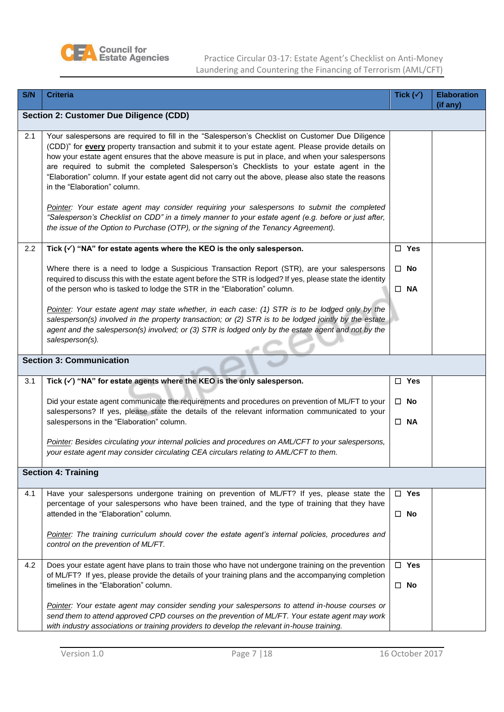

Practice Circular 03-17: Estate Agent's Checklist on Anti-Money Laundering and Countering the Financing of Terrorism (AML/CFT)

| S/N | <b>Criteria</b>                                                                                                                                                                                                                                                                                                                                                                                                                                                                                                                                                                                                                                                                                                                                                                                                                                  | Tick $(\checkmark)$        | <b>Elaboration</b><br>(if any) |
|-----|--------------------------------------------------------------------------------------------------------------------------------------------------------------------------------------------------------------------------------------------------------------------------------------------------------------------------------------------------------------------------------------------------------------------------------------------------------------------------------------------------------------------------------------------------------------------------------------------------------------------------------------------------------------------------------------------------------------------------------------------------------------------------------------------------------------------------------------------------|----------------------------|--------------------------------|
|     | <b>Section 2: Customer Due Diligence (CDD)</b>                                                                                                                                                                                                                                                                                                                                                                                                                                                                                                                                                                                                                                                                                                                                                                                                   |                            |                                |
| 2.1 | Your salespersons are required to fill in the "Salesperson's Checklist on Customer Due Diligence<br>(CDD)" for every property transaction and submit it to your estate agent. Please provide details on<br>how your estate agent ensures that the above measure is put in place, and when your salespersons<br>are required to submit the completed Salesperson's Checklists to your estate agent in the<br>"Elaboration" column. If your estate agent did not carry out the above, please also state the reasons<br>in the "Elaboration" column.<br>Pointer: Your estate agent may consider requiring your salespersons to submit the completed<br>"Salesperson's Checklist on CDD" in a timely manner to your estate agent (e.g. before or just after,<br>the issue of the Option to Purchase (OTP), or the signing of the Tenancy Agreement). |                            |                                |
| 2.2 | Tick $(\checkmark)$ "NA" for estate agents where the KEO is the only salesperson.                                                                                                                                                                                                                                                                                                                                                                                                                                                                                                                                                                                                                                                                                                                                                                | $\Box$ Yes                 |                                |
|     | Where there is a need to lodge a Suspicious Transaction Report (STR), are your salespersons<br>required to discuss this with the estate agent before the STR is lodged? If yes, please state the identity<br>of the person who is tasked to lodge the STR in the "Elaboration" column.                                                                                                                                                                                                                                                                                                                                                                                                                                                                                                                                                           | $\square$ No<br>$\Box$ NA  |                                |
|     | Pointer: Your estate agent may state whether, in each case: (1) STR is to be lodged only by the<br>salesperson(s) involved in the property transaction; or (2) STR is to be lodged jointly by the estate<br>agent and the salesperson(s) involved; or (3) STR is lodged only by the estate agent and not by the<br>salesperson(s).                                                                                                                                                                                                                                                                                                                                                                                                                                                                                                               |                            |                                |
|     | <b>Section 3: Communication</b>                                                                                                                                                                                                                                                                                                                                                                                                                                                                                                                                                                                                                                                                                                                                                                                                                  |                            |                                |
| 3.1 | Tick $(\checkmark)$ "NA" for estate agents where the KEO is the only salesperson.                                                                                                                                                                                                                                                                                                                                                                                                                                                                                                                                                                                                                                                                                                                                                                | $\Box$ Yes                 |                                |
|     | Did your estate agent communicate the requirements and procedures on prevention of ML/FT to your<br>salespersons? If yes, please state the details of the relevant information communicated to your<br>salespersons in the "Elaboration" column.                                                                                                                                                                                                                                                                                                                                                                                                                                                                                                                                                                                                 | $\Box$ No<br>$\Box$ NA     |                                |
|     | Pointer: Besides circulating your internal policies and procedures on AML/CFT to your salespersons,<br>your estate agent may consider circulating CEA circulars relating to AML/CFT to them.                                                                                                                                                                                                                                                                                                                                                                                                                                                                                                                                                                                                                                                     |                            |                                |
|     | <b>Section 4: Training</b>                                                                                                                                                                                                                                                                                                                                                                                                                                                                                                                                                                                                                                                                                                                                                                                                                       |                            |                                |
| 4.1 | Have your salespersons undergone training on prevention of ML/FT? If yes, please state the<br>percentage of your salespersons who have been trained, and the type of training that they have<br>attended in the "Elaboration" column.                                                                                                                                                                                                                                                                                                                                                                                                                                                                                                                                                                                                            | $\Box$ Yes<br>$\Box$ No    |                                |
|     | Pointer: The training curriculum should cover the estate agent's internal policies, procedures and<br>control on the prevention of ML/FT.                                                                                                                                                                                                                                                                                                                                                                                                                                                                                                                                                                                                                                                                                                        |                            |                                |
| 4.2 | Does your estate agent have plans to train those who have not undergone training on the prevention<br>of ML/FT? If yes, please provide the details of your training plans and the accompanying completion<br>timelines in the "Elaboration" column.                                                                                                                                                                                                                                                                                                                                                                                                                                                                                                                                                                                              | $\square$ Yes<br>$\Box$ No |                                |
|     | Pointer: Your estate agent may consider sending your salespersons to attend in-house courses or<br>send them to attend approved CPD courses on the prevention of ML/FT. Your estate agent may work<br>with industry associations or training providers to develop the relevant in-house training.                                                                                                                                                                                                                                                                                                                                                                                                                                                                                                                                                |                            |                                |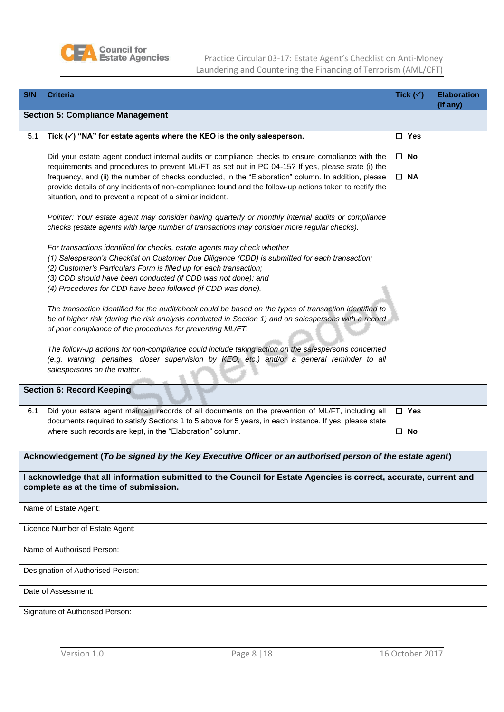

Practice Circular 03-17: Estate Agent's Checklist on Anti-Money Laundering and Countering the Financing of Terrorism (AML/CFT)

| S/N                             | <b>Criteria</b>                                                                                                                                                                                                                                                                                                                                                                  | Tick $(\checkmark)$ | <b>Elaboration</b> |  |  |  |
|---------------------------------|----------------------------------------------------------------------------------------------------------------------------------------------------------------------------------------------------------------------------------------------------------------------------------------------------------------------------------------------------------------------------------|---------------------|--------------------|--|--|--|
|                                 | <b>Section 5: Compliance Management</b>                                                                                                                                                                                                                                                                                                                                          |                     | (if any)           |  |  |  |
|                                 |                                                                                                                                                                                                                                                                                                                                                                                  |                     |                    |  |  |  |
| 5.1                             | Tick $(\checkmark)$ "NA" for estate agents where the KEO is the only salesperson.                                                                                                                                                                                                                                                                                                | $\Box$ Yes          |                    |  |  |  |
|                                 | Did your estate agent conduct internal audits or compliance checks to ensure compliance with the<br>requirements and procedures to prevent ML/FT as set out in PC 04-15? If yes, please state (i) the                                                                                                                                                                            | $\square$ No        |                    |  |  |  |
|                                 | frequency, and (ii) the number of checks conducted, in the "Elaboration" column. In addition, please<br>provide details of any incidents of non-compliance found and the follow-up actions taken to rectify the<br>situation, and to prevent a repeat of a similar incident.                                                                                                     | $\square$ NA        |                    |  |  |  |
|                                 | Pointer: Your estate agent may consider having quarterly or monthly internal audits or compliance<br>checks (estate agents with large number of transactions may consider more regular checks).                                                                                                                                                                                  |                     |                    |  |  |  |
|                                 | For transactions identified for checks, estate agents may check whether<br>(1) Salesperson's Checklist on Customer Due Diligence (CDD) is submitted for each transaction;<br>(2) Customer's Particulars Form is filled up for each transaction;<br>(3) CDD should have been conducted (if CDD was not done); and<br>(4) Procedures for CDD have been followed (if CDD was done). |                     |                    |  |  |  |
|                                 | The transaction identified for the audit/check could be based on the types of transaction identified to<br>be of higher risk (during the risk analysis conducted in Section 1) and on salespersons with a record                                                                                                                                                                 |                     |                    |  |  |  |
|                                 | of poor compliance of the procedures for preventing ML/FT.                                                                                                                                                                                                                                                                                                                       |                     |                    |  |  |  |
|                                 | The follow-up actions for non-compliance could include taking action on the salespersons concerned<br>(e.g. warning, penalties, closer supervision by KEO, etc.) and/or a general reminder to all<br>salespersons on the matter.                                                                                                                                                 |                     |                    |  |  |  |
|                                 | <b>Section 6: Record Keeping</b>                                                                                                                                                                                                                                                                                                                                                 |                     |                    |  |  |  |
| 6.1                             | Did your estate agent maintain records of all documents on the prevention of ML/FT, including all                                                                                                                                                                                                                                                                                | $\Box$ Yes          |                    |  |  |  |
|                                 | documents required to satisfy Sections 1 to 5 above for 5 years, in each instance. If yes, please state<br>where such records are kept, in the "Elaboration" column.                                                                                                                                                                                                             | $\Box$ No           |                    |  |  |  |
|                                 | Acknowledgement (To be signed by the Key Executive Officer or an authorised person of the estate agent)                                                                                                                                                                                                                                                                          |                     |                    |  |  |  |
|                                 | I acknowledge that all information submitted to the Council for Estate Agencies is correct, accurate, current and<br>complete as at the time of submission.                                                                                                                                                                                                                      |                     |                    |  |  |  |
|                                 | Name of Estate Agent:                                                                                                                                                                                                                                                                                                                                                            |                     |                    |  |  |  |
| Licence Number of Estate Agent: |                                                                                                                                                                                                                                                                                                                                                                                  |                     |                    |  |  |  |
|                                 | Name of Authorised Person:                                                                                                                                                                                                                                                                                                                                                       |                     |                    |  |  |  |
|                                 | Designation of Authorised Person:                                                                                                                                                                                                                                                                                                                                                |                     |                    |  |  |  |
|                                 | Date of Assessment:                                                                                                                                                                                                                                                                                                                                                              |                     |                    |  |  |  |
|                                 | Signature of Authorised Person:                                                                                                                                                                                                                                                                                                                                                  |                     |                    |  |  |  |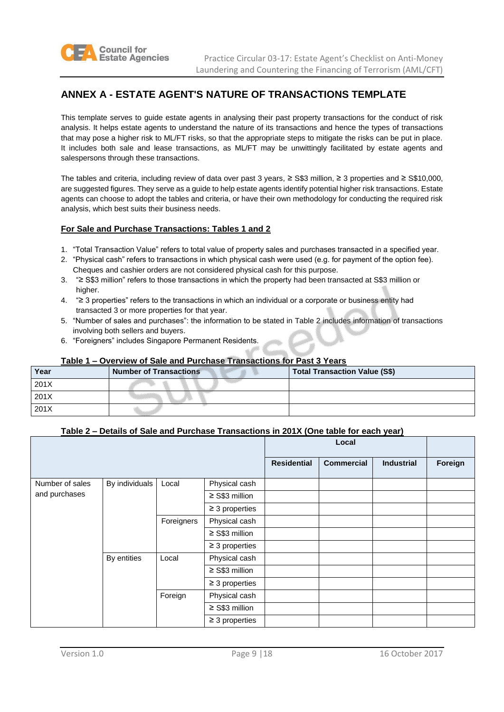

## **ANNEX A - ESTATE AGENT'S NATURE OF TRANSACTIONS TEMPLATE**

This template serves to guide estate agents in analysing their past property transactions for the conduct of risk analysis. It helps estate agents to understand the nature of its transactions and hence the types of transactions that may pose a higher risk to ML/FT risks, so that the appropriate steps to mitigate the risks can be put in place. It includes both sale and lease transactions, as ML/FT may be unwittingly facilitated by estate agents and salespersons through these transactions.

The tables and criteria, including review of data over past 3 years, ≥ S\$3 million, ≥ 3 properties and ≥ S\$10,000, are suggested figures. They serve as a guide to help estate agents identify potential higher risk transactions. Estate agents can choose to adopt the tables and criteria, or have their own methodology for conducting the required risk analysis, which best suits their business needs.

#### **For Sale and Purchase Transactions: Tables 1 and 2**

- 1. "Total Transaction Value" refers to total value of property sales and purchases transacted in a specified year.
- 2. "Physical cash" refers to transactions in which physical cash were used (e.g. for payment of the option fee). Cheques and cashier orders are not considered physical cash for this purpose.
- 3. "≥ S\$3 million" refers to those transactions in which the property had been transacted at S\$3 million or higher.
- 4. "≥ 3 properties" refers to the transactions in which an individual or a corporate or business entity had transacted 3 or more properties for that year.
- 5. "Number of sales and purchases": the information to be stated in Table 2 includes information of transactions involving both sellers and buyers.
- 6. "Foreigners" includes Singapore Permanent Residents.

#### **Table 1 – Overview of Sale and Purchase Transactions for Past 3 Years**

| Year | <b>Number of Transactions</b> | <b>Total Transaction Value (S\$)</b> |
|------|-------------------------------|--------------------------------------|
| 201X |                               |                                      |
| 201X |                               |                                      |
| 201X |                               |                                      |

#### **Table 2 – Details of Sale and Purchase Transactions in 201X (One table for each year)**

|                 |                |            |                     |                    | Local             |                   |         |
|-----------------|----------------|------------|---------------------|--------------------|-------------------|-------------------|---------|
|                 |                |            |                     | <b>Residential</b> | <b>Commercial</b> | <b>Industrial</b> | Foreign |
| Number of sales | By individuals | Local      | Physical cash       |                    |                   |                   |         |
| and purchases   |                |            | $\geq$ S\$3 million |                    |                   |                   |         |
|                 |                |            | $\geq$ 3 properties |                    |                   |                   |         |
|                 |                | Foreigners | Physical cash       |                    |                   |                   |         |
|                 |                |            | $\geq$ S\$3 million |                    |                   |                   |         |
|                 |                |            | $\geq$ 3 properties |                    |                   |                   |         |
|                 | By entities    | Local      | Physical cash       |                    |                   |                   |         |
|                 |                |            | $\geq$ S\$3 million |                    |                   |                   |         |
|                 |                |            | $\geq$ 3 properties |                    |                   |                   |         |
|                 |                | Foreign    | Physical cash       |                    |                   |                   |         |
|                 |                |            | $\geq$ S\$3 million |                    |                   |                   |         |
|                 |                |            | $\geq$ 3 properties |                    |                   |                   |         |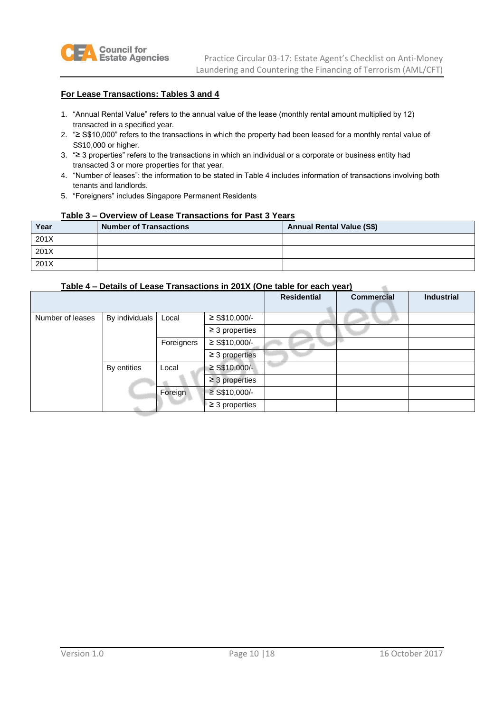

#### **For Lease Transactions: Tables 3 and 4**

- 1. "Annual Rental Value" refers to the annual value of the lease (monthly rental amount multiplied by 12) transacted in a specified year.
- 2. "≥ S\$10,000" refers to the transactions in which the property had been leased for a monthly rental value of S\$10,000 or higher.
- 3. "≥ 3 properties" refers to the transactions in which an individual or a corporate or business entity had transacted 3 or more properties for that year.
- 4. "Number of leases": the information to be stated in Table 4 includes information of transactions involving both tenants and landlords.
- 5. "Foreigners" includes Singapore Permanent Residents

#### **Table 3 – Overview of Lease Transactions for Past 3 Years**

| Year | <b>Number of Transactions</b> | <b>Annual Rental Value (S\$)</b> |
|------|-------------------------------|----------------------------------|
| 201X |                               |                                  |
| 201X |                               |                                  |
| 201X |                               |                                  |

#### **Table 4 – Details of Lease Transactions in 201X (One table for each year)**

|                  |                |            |                     | <b>Residential</b> | <b>Commercial</b> | <b>Industrial</b> |
|------------------|----------------|------------|---------------------|--------------------|-------------------|-------------------|
| Number of leases | By individuals | Local      | $\geq$ S\$10,000/-  |                    |                   |                   |
|                  |                |            | $\geq$ 3 properties |                    |                   |                   |
|                  |                | Foreigners | $\geq$ S\$10,000/-  |                    |                   |                   |
|                  |                |            | $\geq$ 3 properties |                    |                   |                   |
|                  | By entities    | Local      | $\geq$ S\$10,000/-  |                    |                   |                   |
|                  |                |            | $\geq$ 3 properties |                    |                   |                   |
|                  |                | Foreign    | $\geq$ S\$10,000/-  |                    |                   |                   |
|                  |                |            | $\geq$ 3 properties |                    |                   |                   |

 $\overline{a}$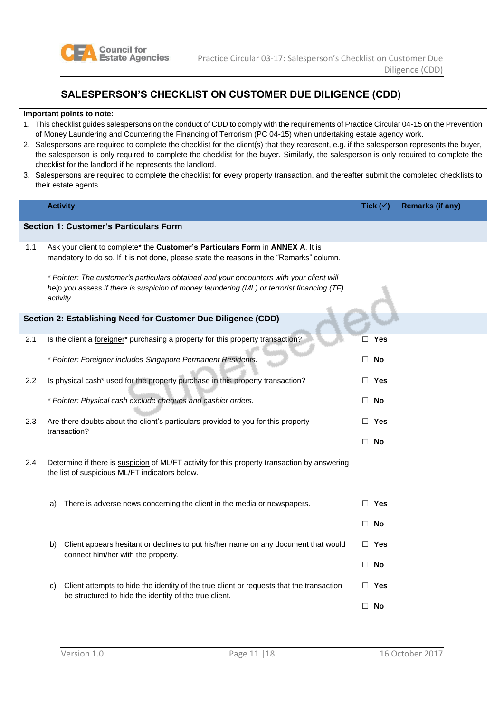

## **SALESPERSON'S CHECKLIST ON CUSTOMER DUE DILIGENCE (CDD)**

#### **Important points to note:**

- 1. This checklist guides salespersons on the conduct of CDD to comply with the requirements of Practice Circular 04-15 on the Prevention of Money Laundering and Countering the Financing of Terrorism (PC 04-15) when undertaking estate agency work.
- 2. Salespersons are required to complete the checklist for the client(s) that they represent, e.g. if the salesperson represents the buyer, the salesperson is only required to complete the checklist for the buyer. Similarly, the salesperson is only required to complete the checklist for the landlord if he represents the landlord.
- 3. Salespersons are required to complete the checklist for every property transaction, and thereafter submit the completed checklists to their estate agents.

|     | <b>Activity</b>                                                                                                                                                                                     | Tick $(\checkmark)$ | <b>Remarks (if any)</b> |
|-----|-----------------------------------------------------------------------------------------------------------------------------------------------------------------------------------------------------|---------------------|-------------------------|
|     | <b>Section 1: Customer's Particulars Form</b>                                                                                                                                                       |                     |                         |
| 1.1 | Ask your client to complete* the Customer's Particulars Form in ANNEX A. It is<br>mandatory to do so. If it is not done, please state the reasons in the "Remarks" column.                          |                     |                         |
|     | * Pointer: The customer's particulars obtained and your encounters with your client will<br>help you assess if there is suspicion of money laundering (ML) or terrorist financing (TF)<br>activity. |                     |                         |
|     | Section 2: Establishing Need for Customer Due Diligence (CDD)                                                                                                                                       |                     |                         |
| 2.1 | Is the client a foreigner* purchasing a property for this property transaction?                                                                                                                     | $\Box$ Yes          |                         |
|     | * Pointer: Foreigner includes Singapore Permanent Residents.                                                                                                                                        | $\Box$ No           |                         |
| 2.2 | Is physical cash* used for the property purchase in this property transaction?                                                                                                                      | $\Box$ Yes          |                         |
|     | * Pointer: Physical cash exclude cheques and cashier orders.                                                                                                                                        | No<br>$\Box$        |                         |
| 2.3 | Are there doubts about the client's particulars provided to you for this property<br>transaction?                                                                                                   | Yes<br>$\Box$       |                         |
|     |                                                                                                                                                                                                     | $\Box$ No           |                         |
| 2.4 | Determine if there is suspicion of ML/FT activity for this property transaction by answering<br>the list of suspicious ML/FT indicators below.                                                      |                     |                         |
|     | There is adverse news concerning the client in the media or newspapers.<br>a)                                                                                                                       | $\Box$ Yes          |                         |
|     |                                                                                                                                                                                                     | $\Box$ No           |                         |
|     | Client appears hesitant or declines to put his/her name on any document that would<br>b)<br>connect him/her with the property.                                                                      | $\Box$ Yes          |                         |
|     |                                                                                                                                                                                                     | $\Box$ No           |                         |
|     | Client attempts to hide the identity of the true client or requests that the transaction<br>C)<br>be structured to hide the identity of the true client.                                            | $\Box$ Yes          |                         |
|     |                                                                                                                                                                                                     | $\Box$ No           |                         |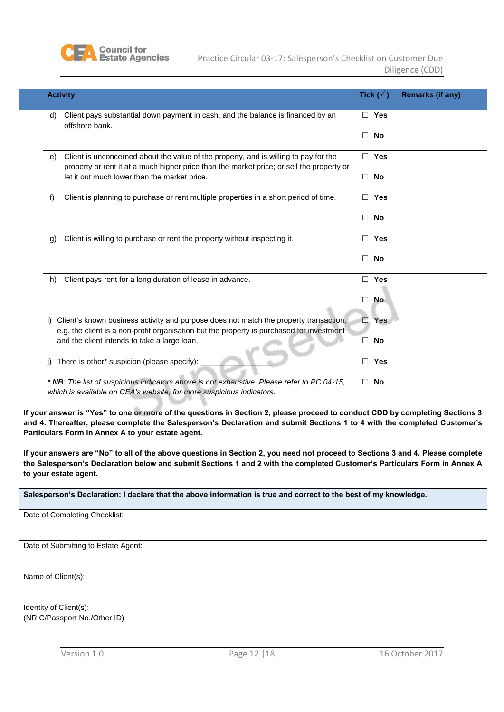

| <b>Activity</b>                                                                                                                                                                                                                         | Tick $(\sqrt{})$                  | <b>Remarks (if any)</b> |
|-----------------------------------------------------------------------------------------------------------------------------------------------------------------------------------------------------------------------------------------|-----------------------------------|-------------------------|
| Client pays substantial down payment in cash, and the balance is financed by an<br>d)<br>offshore bank.                                                                                                                                 | $\Box$ Yes<br>$\Box$<br>No        |                         |
| Client is unconcerned about the value of the property, and is willing to pay for the<br>e)<br>property or rent it at a much higher price than the market price; or sell the property or<br>let it out much lower than the market price. | $\Box$ Yes<br>$\Box$<br><b>No</b> |                         |
| f<br>Client is planning to purchase or rent multiple properties in a short period of time.                                                                                                                                              | $\Box$ Yes<br>No<br>П             |                         |
| Client is willing to purchase or rent the property without inspecting it.<br>g)                                                                                                                                                         | Yes<br>$\Box$<br>No<br>П          |                         |
| Client pays rent for a long duration of lease in advance.<br>h)                                                                                                                                                                         | $\Box$ Yes<br><b>No</b><br>$\Box$ |                         |
| i) Client's known business activity and purpose does not match the property transaction,<br>e.g. the client is a non-profit organisation but the property is purchased for investment<br>and the client intends to take a large loan.   | Yes<br>$\Box$<br>No<br>$\Box$     |                         |
| j) There is other* suspicion (please specify):                                                                                                                                                                                          | $\Box$ Yes                        |                         |
| * NB: The list of suspicious indicators above is not exhaustive. Please refer to PC 04-15,<br>which is available on CEA's website, for more suspicious indicators.                                                                      | No<br>П                           |                         |

**If your answer is "Yes" to one or more of the questions in Section 2, please proceed to conduct CDD by completing Sections 3 and 4. Thereafter, please complete the Salesperson's Declaration and submit Sections 1 to 4 with the completed Customer's Particulars Form in Annex A to your estate agent.**

**If your answers are "No" to all of the above questions in Section 2, you need not proceed to Sections 3 and 4. Please complete the Salesperson's Declaration below and submit Sections 1 and 2 with the completed Customer's Particulars Form in Annex A to your estate agent.**

#### **Salesperson's Declaration: I declare that the above information is true and correct to the best of my knowledge.**

| Date of Completing Checklist:                          |  |
|--------------------------------------------------------|--|
| Date of Submitting to Estate Agent:                    |  |
| Name of Client(s):                                     |  |
| Identity of Client(s):<br>(NRIC/Passport No./Other ID) |  |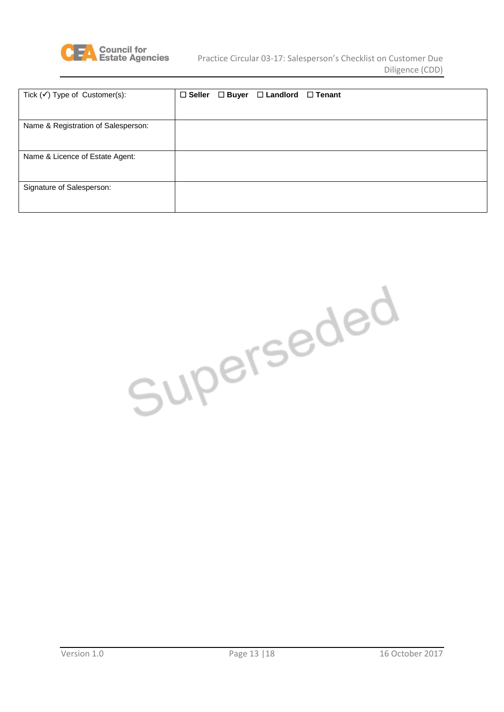

| Tick $(\checkmark)$ Type of Customer(s): | $\square$ Seller | $\Box$ Buyer $\Box$ Landlord $\Box$ Tenant |  |
|------------------------------------------|------------------|--------------------------------------------|--|
| Name & Registration of Salesperson:      |                  |                                            |  |
| Name & Licence of Estate Agent:          |                  |                                            |  |
| Signature of Salesperson:                |                  |                                            |  |

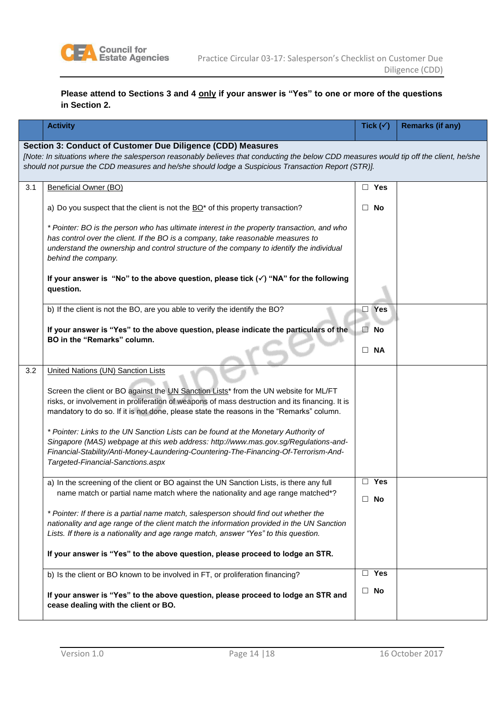

### **Please attend to Sections 3 and 4 only if your answer is "Yes" to one or more of the questions in Section 2.**

|                                                                                                                                                                                                                                                                                                             | <b>Activity</b>                                                                                                                                                                                                                                                                                         | Tick $(\checkmark)$ | <b>Remarks (if any)</b> |
|-------------------------------------------------------------------------------------------------------------------------------------------------------------------------------------------------------------------------------------------------------------------------------------------------------------|---------------------------------------------------------------------------------------------------------------------------------------------------------------------------------------------------------------------------------------------------------------------------------------------------------|---------------------|-------------------------|
| Section 3: Conduct of Customer Due Diligence (CDD) Measures<br>[Note: In situations where the salesperson reasonably believes that conducting the below CDD measures would tip off the client, he/she<br>should not pursue the CDD measures and he/she should lodge a Suspicious Transaction Report (STR)]. |                                                                                                                                                                                                                                                                                                         |                     |                         |
| 3.1                                                                                                                                                                                                                                                                                                         | Beneficial Owner (BO)                                                                                                                                                                                                                                                                                   | $\Box$ Yes          |                         |
|                                                                                                                                                                                                                                                                                                             | a) Do you suspect that the client is not the BO* of this property transaction?                                                                                                                                                                                                                          | $\Box$ No           |                         |
|                                                                                                                                                                                                                                                                                                             | * Pointer: BO is the person who has ultimate interest in the property transaction, and who<br>has control over the client. If the BO is a company, take reasonable measures to<br>understand the ownership and control structure of the company to identify the individual<br>behind the company.       |                     |                         |
|                                                                                                                                                                                                                                                                                                             | If your answer is "No" to the above question, please tick $(\checkmark)$ "NA" for the following<br>question.                                                                                                                                                                                            |                     |                         |
|                                                                                                                                                                                                                                                                                                             | b) If the client is not the BO, are you able to verify the identify the BO?                                                                                                                                                                                                                             | $\Box$ Yes          |                         |
|                                                                                                                                                                                                                                                                                                             | If your answer is "Yes" to the above question, please indicate the particulars of the<br>BO in the "Remarks" column.                                                                                                                                                                                    | $\Box$<br>No        |                         |
|                                                                                                                                                                                                                                                                                                             |                                                                                                                                                                                                                                                                                                         | <b>NA</b><br>$\Box$ |                         |
| 3.2                                                                                                                                                                                                                                                                                                         | <b>United Nations (UN) Sanction Lists</b>                                                                                                                                                                                                                                                               |                     |                         |
|                                                                                                                                                                                                                                                                                                             | Screen the client or BO against the UN Sanction Lists* from the UN website for ML/FT<br>risks, or involvement in proliferation of weapons of mass destruction and its financing. It is<br>mandatory to do so. If it is not done, please state the reasons in the "Remarks" column.                      |                     |                         |
|                                                                                                                                                                                                                                                                                                             | * Pointer: Links to the UN Sanction Lists can be found at the Monetary Authority of<br>Singapore (MAS) webpage at this web address: http://www.mas.gov.sg/Regulations-and-<br>Financial-Stability/Anti-Money-Laundering-Countering-The-Financing-Of-Terrorism-And-<br>Targeted-Financial-Sanctions.aspx |                     |                         |
|                                                                                                                                                                                                                                                                                                             | a) In the screening of the client or BO against the UN Sanction Lists, is there any full                                                                                                                                                                                                                | Yes<br>$\Box$       |                         |
|                                                                                                                                                                                                                                                                                                             | name match or partial name match where the nationality and age range matched*?                                                                                                                                                                                                                          | $\Box$ No           |                         |
|                                                                                                                                                                                                                                                                                                             | * Pointer: If there is a partial name match, salesperson should find out whether the<br>nationality and age range of the client match the information provided in the UN Sanction<br>Lists. If there is a nationality and age range match, answer "Yes" to this question.                               |                     |                         |
|                                                                                                                                                                                                                                                                                                             | If your answer is "Yes" to the above question, please proceed to lodge an STR.                                                                                                                                                                                                                          |                     |                         |
|                                                                                                                                                                                                                                                                                                             | b) Is the client or BO known to be involved in FT, or proliferation financing?                                                                                                                                                                                                                          | $\Box$ Yes          |                         |
|                                                                                                                                                                                                                                                                                                             | If your answer is "Yes" to the above question, please proceed to lodge an STR and<br>cease dealing with the client or BO.                                                                                                                                                                               | $\Box$ No           |                         |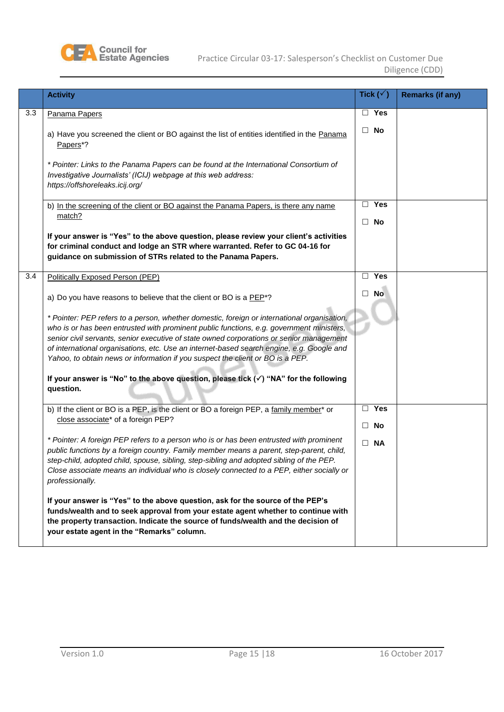

|     | <b>Activity</b>                                                                                                                                                                                                                                                                                                                                                                                                                                                                                                                                                                    | Tick $(\sqrt{ } )$      | <b>Remarks (if any)</b> |
|-----|------------------------------------------------------------------------------------------------------------------------------------------------------------------------------------------------------------------------------------------------------------------------------------------------------------------------------------------------------------------------------------------------------------------------------------------------------------------------------------------------------------------------------------------------------------------------------------|-------------------------|-------------------------|
| 3.3 | Panama Papers                                                                                                                                                                                                                                                                                                                                                                                                                                                                                                                                                                      | $\Box$ Yes              |                         |
|     | a) Have you screened the client or BO against the list of entities identified in the Panama<br>Papers <sup>*?</sup>                                                                                                                                                                                                                                                                                                                                                                                                                                                                | $\Box$ No               |                         |
|     | * Pointer: Links to the Panama Papers can be found at the International Consortium of<br>Investigative Journalists' (ICIJ) webpage at this web address:<br>https://offshoreleaks.icij.org/                                                                                                                                                                                                                                                                                                                                                                                         |                         |                         |
|     | b) In the screening of the client or BO against the Panama Papers, is there any name                                                                                                                                                                                                                                                                                                                                                                                                                                                                                               | $\Box$ Yes              |                         |
|     | match?                                                                                                                                                                                                                                                                                                                                                                                                                                                                                                                                                                             | $\Box$ No               |                         |
|     | If your answer is "Yes" to the above question, please review your client's activities<br>for criminal conduct and lodge an STR where warranted. Refer to GC 04-16 for<br>guidance on submission of STRs related to the Panama Papers.                                                                                                                                                                                                                                                                                                                                              |                         |                         |
| 3.4 | Politically Exposed Person (PEP)                                                                                                                                                                                                                                                                                                                                                                                                                                                                                                                                                   | $\Box$ Yes              |                         |
|     | a) Do you have reasons to believe that the client or BO is a PEP <sup>*?</sup>                                                                                                                                                                                                                                                                                                                                                                                                                                                                                                     | $\Box$ No               |                         |
|     | * Pointer: PEP refers to a person, whether domestic, foreign or international organisation,<br>who is or has been entrusted with prominent public functions, e.g. government ministers,<br>senior civil servants, senior executive of state owned corporations or senior management<br>of international organisations, etc. Use an internet-based search engine, e.g. Google and<br>Yahoo, to obtain news or information if you suspect the client or BO is a PEP.<br>If your answer is "No" to the above question, please tick $(\checkmark)$ "NA" for the following<br>question. |                         |                         |
|     | b) If the client or BO is a PEP, is the client or BO a foreign PEP, a family member* or<br>close associate* of a foreign PEP?                                                                                                                                                                                                                                                                                                                                                                                                                                                      | $\Box$ Yes<br>$\Box$ No |                         |
|     | * Pointer: A foreign PEP refers to a person who is or has been entrusted with prominent<br>public functions by a foreign country. Family member means a parent, step-parent, child,<br>step-child, adopted child, spouse, sibling, step-sibling and adopted sibling of the PEP.<br>Close associate means an individual who is closely connected to a PEP, either socially or<br>professionally.                                                                                                                                                                                    | $\Box$ NA               |                         |
|     | If your answer is "Yes" to the above question, ask for the source of the PEP's<br>funds/wealth and to seek approval from your estate agent whether to continue with<br>the property transaction. Indicate the source of funds/wealth and the decision of<br>your estate agent in the "Remarks" column.                                                                                                                                                                                                                                                                             |                         |                         |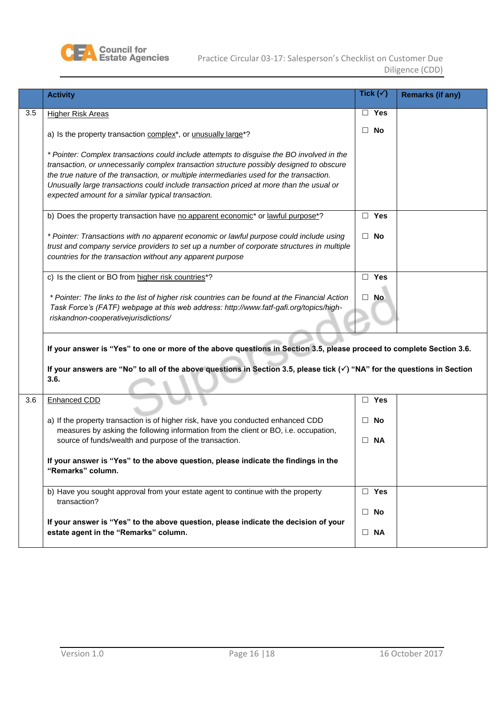

|     | <b>Activity</b>                                                                                                                                                                                                                                                                                                                                                                                                                    |        | Tick $(\checkmark)$ | <b>Remarks (if any)</b> |
|-----|------------------------------------------------------------------------------------------------------------------------------------------------------------------------------------------------------------------------------------------------------------------------------------------------------------------------------------------------------------------------------------------------------------------------------------|--------|---------------------|-------------------------|
| 3.5 | <b>Higher Risk Areas</b>                                                                                                                                                                                                                                                                                                                                                                                                           |        | $\Box$ Yes          |                         |
|     | a) Is the property transaction complex*, or unusually large*?                                                                                                                                                                                                                                                                                                                                                                      |        | $\Box$ No           |                         |
|     | * Pointer: Complex transactions could include attempts to disguise the BO involved in the<br>transaction, or unnecessarily complex transaction structure possibly designed to obscure<br>the true nature of the transaction, or multiple intermediaries used for the transaction.<br>Unusually large transactions could include transaction priced at more than the usual or<br>expected amount for a similar typical transaction. |        |                     |                         |
|     | b) Does the property transaction have no apparent economic* or lawful purpose*?                                                                                                                                                                                                                                                                                                                                                    |        | $\Box$ Yes          |                         |
|     | * Pointer: Transactions with no apparent economic or lawful purpose could include using<br>trust and company service providers to set up a number of corporate structures in multiple<br>countries for the transaction without any apparent purpose                                                                                                                                                                                |        | $\Box$ No           |                         |
|     | c) Is the client or BO from higher risk countries*?                                                                                                                                                                                                                                                                                                                                                                                |        | $\Box$ Yes          |                         |
|     | * Pointer: The links to the list of higher risk countries can be found at the Financial Action<br>Task Force's (FATF) webpage at this web address: http://www.fatf-gafi.org/topics/high-<br>riskandnon-cooperativejurisdictions/                                                                                                                                                                                                   |        | $\Box$ No           |                         |
|     | If your answer is "Yes" to one or more of the above questions in Section 3.5, please proceed to complete Section 3.6.<br>If your answers are "No" to all of the above questions in Section 3.5, please tick $(\checkmark)$ "NA" for the questions in Section<br>3.6.                                                                                                                                                               |        |                     |                         |
| 3.6 | <b>Enhanced CDD</b>                                                                                                                                                                                                                                                                                                                                                                                                                |        | $\Box$ Yes          |                         |
|     | a) If the property transaction is of higher risk, have you conducted enhanced CDD<br>measures by asking the following information from the client or BO, i.e. occupation,                                                                                                                                                                                                                                                          | $\Box$ | No                  |                         |
|     | source of funds/wealth and purpose of the transaction.                                                                                                                                                                                                                                                                                                                                                                             |        | $\Box$ NA           |                         |
|     | If your answer is "Yes" to the above question, please indicate the findings in the<br>"Remarks" column.                                                                                                                                                                                                                                                                                                                            |        |                     |                         |
|     | b) Have you sought approval from your estate agent to continue with the property<br>transaction?                                                                                                                                                                                                                                                                                                                                   |        | $\square$ Yes       |                         |
|     | If your answer is "Yes" to the above question, please indicate the decision of your                                                                                                                                                                                                                                                                                                                                                |        | $\Box$ No           |                         |
|     | estate agent in the "Remarks" column.                                                                                                                                                                                                                                                                                                                                                                                              |        | $\Box$ NA           |                         |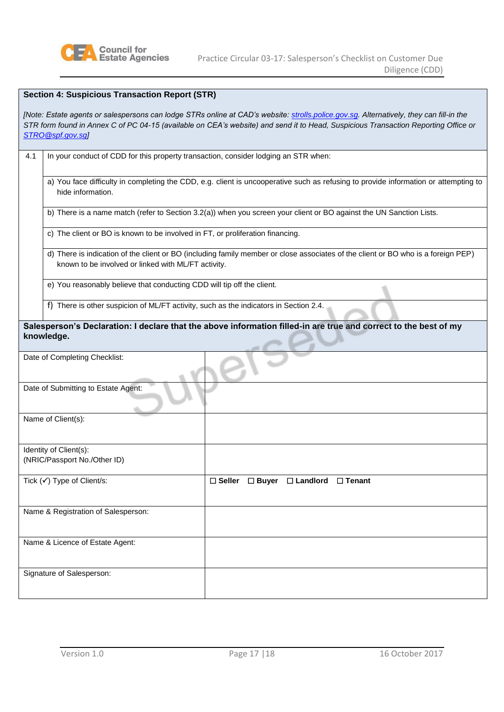

| <b>Section 4: Suspicious Transaction Report (STR)</b>                                                                                                                                                                                                                                             |                                                                                                                                                                                          |                                                                    |  |  |  |
|---------------------------------------------------------------------------------------------------------------------------------------------------------------------------------------------------------------------------------------------------------------------------------------------------|------------------------------------------------------------------------------------------------------------------------------------------------------------------------------------------|--------------------------------------------------------------------|--|--|--|
| [Note: Estate agents or salespersons can lodge STRs online at CAD's website: strolls.police.gov.sg. Alternatively, they can fill-in the<br>STR form found in Annex C of PC 04-15 (available on CEA's website) and send it to Head, Suspicious Transaction Reporting Office or<br>STRO@spf.gov.sgl |                                                                                                                                                                                          |                                                                    |  |  |  |
| 4.1                                                                                                                                                                                                                                                                                               | In your conduct of CDD for this property transaction, consider lodging an STR when:                                                                                                      |                                                                    |  |  |  |
|                                                                                                                                                                                                                                                                                                   | a) You face difficulty in completing the CDD, e.g. client is uncooperative such as refusing to provide information or attempting to<br>hide information.                                 |                                                                    |  |  |  |
|                                                                                                                                                                                                                                                                                                   | b) There is a name match (refer to Section 3.2(a)) when you screen your client or BO against the UN Sanction Lists.                                                                      |                                                                    |  |  |  |
|                                                                                                                                                                                                                                                                                                   | c) The client or BO is known to be involved in FT, or proliferation financing.                                                                                                           |                                                                    |  |  |  |
|                                                                                                                                                                                                                                                                                                   | d) There is indication of the client or BO (including family member or close associates of the client or BO who is a foreign PEP)<br>known to be involved or linked with ML/FT activity. |                                                                    |  |  |  |
|                                                                                                                                                                                                                                                                                                   | e) You reasonably believe that conducting CDD will tip off the client.                                                                                                                   |                                                                    |  |  |  |
|                                                                                                                                                                                                                                                                                                   | f) There is other suspicion of ML/FT activity, such as the indicators in Section 2.4.                                                                                                    |                                                                    |  |  |  |
| Salesperson's Declaration: I declare that the above information filled-in are true and correct to the best of my<br>knowledge.                                                                                                                                                                    |                                                                                                                                                                                          |                                                                    |  |  |  |
| Date of Completing Checklist:                                                                                                                                                                                                                                                                     |                                                                                                                                                                                          |                                                                    |  |  |  |
| Date of Submitting to Estate Agent:                                                                                                                                                                                                                                                               |                                                                                                                                                                                          |                                                                    |  |  |  |
|                                                                                                                                                                                                                                                                                                   | Name of Client(s):                                                                                                                                                                       |                                                                    |  |  |  |
|                                                                                                                                                                                                                                                                                                   | Identity of Client(s):<br>(NRIC/Passport No./Other ID)                                                                                                                                   |                                                                    |  |  |  |
|                                                                                                                                                                                                                                                                                                   | Tick (√) Type of Client/s:                                                                                                                                                               | $\square$ Landlord<br>$\square$ Seller<br>□ Buyer<br>$\Box$ Tenant |  |  |  |
|                                                                                                                                                                                                                                                                                                   | Name & Registration of Salesperson:                                                                                                                                                      |                                                                    |  |  |  |
|                                                                                                                                                                                                                                                                                                   | Name & Licence of Estate Agent:                                                                                                                                                          |                                                                    |  |  |  |
|                                                                                                                                                                                                                                                                                                   | Signature of Salesperson:                                                                                                                                                                |                                                                    |  |  |  |